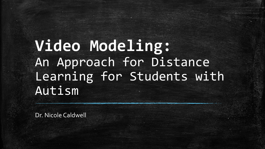**Video Modeling:**  An Approach for Distance Learning for Students with Autism

Dr. Nicole Caldwell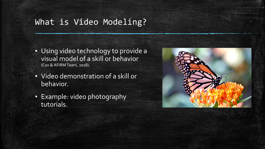#### What is Video Modeling?

- Using video technology to provide a visual model of a skill or behavior (Cox & AFIRM Team, 2018).
- Video demonstration of a skill or behavior.
- Example: video photography tutorials.

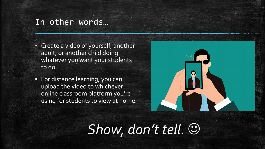#### In other words…

- **EXEC** Create a video of yourself, another adult, or another child doing whatever you want your students to do.
- **Example 21 For distance learning, you can** upload the video to whichever online classroom platform you're using for students to view at home.



# *Show, don't tell.* ☺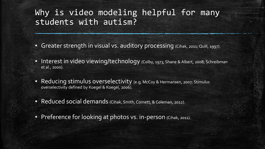### Why is video modeling helpful for many students with autism?

- **Greater strength in visual vs. auditory processing (Cihak, 2011; Quill, 1997).**
- **Interest in video viewing/technology** (Colby, 1973; Shane & Albert, 2008; Schreibman et al., 2000).
- **Reducing stimulus overselectivity** (e.g, McCoy & Hermansen, 2007; Stimulus overselectivity defined by Koegel & Koegel, 2006).
- Reduced social demands (Cihak, Smith, Cornett, & Coleman, 2012).
- **Preference for looking at photos vs. in-person** (Cihak, 2011).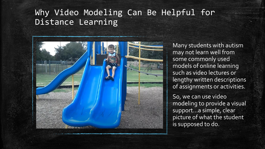## Why Video Modeling Can Be Helpful for Distance Learning



Many students with autism may not learn well from some commonly used models of online learning such as video lectures or lengthy written descriptions of assignments or activities.

So, we can use video modeling to provide a visual support…a simple, clear picture of what the student is supposed to do.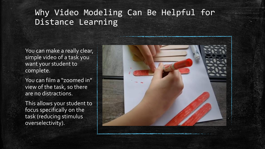# Why Video Modeling Can Be Helpful for Distance Learning

You can make a really clear, simple video of a task you want your student to complete.

You can film a "zoomed in" view of the task, so there are no distractions.

This allows your student to focus specifically on the task (reducing stimulus overselectivity).

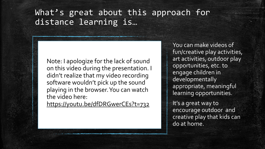## What's great about this approach for distance learning is…

Note: I apologize for the lack of sound on this video during the presentation. I didn't realize that my video recording software wouldn't pick up the sound playing in the browser. You can watch the video here:

<https://youtu.be/dfDRGwerCEs?t=732>

You can make videos of fun/creative play activities, art activities, outdoor play opportunities, etc. to engage children in developmentally appropriate, meaningful learning opportunities.

It's a great way to encourage outdoor and creative play that kids can do at home.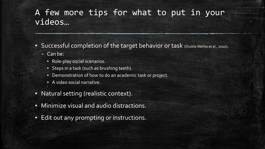## A few more tips for what to put in your videos…

- Successful completion of the target behavior or task (Shukla-Mehta et al., 2010).
	- Can be:
		- Role-play social scenarios.
		- Steps in a task (such as brushing teeth).
		- Demonstration of how to do an academic task or project.
		- A video social narrative.
- Natural setting (realistic context).
- **Minimize visual and audio distractions.**
- **Edit out any prompting or instructions.**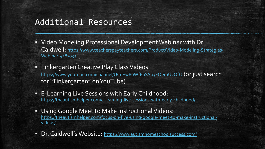#### Additional Resources

- Video Modeling Professional Development Webinar with Dr. Caldwell: [https://www.teacherspayteachers.com/Product/Video-Modeling-Strategies-](https://www.teacherspayteachers.com/Product/Video-Modeling-Strategies-Webinar-4187033)Webinar-4187033
- **Tinkergarten Creative Play Class Videos:** <https://www.youtube.com/channel/UCeEw80Wf6oSS03FOemUvOfQ> (or just search for "Tinkergarten" on YouTube)
- **E-Learning Live Sessions with Early Childhood:** <https://theautismhelper.com/e-learning-live-sessions-with-early-childhood/>
- **.** Using Google Meet to Make Instructional Videos: [https://theautismhelper.com/focus-on-five-using-google-meet-to-make-instructional](https://theautismhelper.com/focus-on-five-using-google-meet-to-make-instructional-videos/)videos/
- Dr. Caldwell's Website: <https://www.autismhomeschoolsuccess.com/>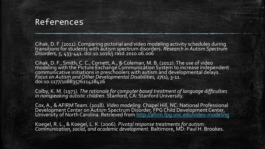#### References

Cihak, D. F. (2011). Comparing pictorial and video modeling activity schedules during transitions for students with autism spectrum disorders. *Research in Autism Spectrum Disorders, 5*, 433-441. doi:10.1016/j.rasd.2010.06.006

Cihak, D. F., Smith, C. C., Cornett, A., & Coleman, M. B. (2012). The use of video modeling with the Picture Exchange Communication System to increase independent communicative initiations in preschoolers with autism and developmental delays. *Focus on Autism and Other Developmental Disabilities, 27*(1), 3-11. doi:10.1177/1088357611428426

Colby, K. M. (1973). *The rationale for computer based treatment of language difficulties in nonspeaking autistic children.* Stanford, CA: Stanford University.

Cox, A., & AFIRM Team. (2018). *Video modeling*. Chapel Hill, NC: National Professional Development Center on Autism Spectrum Disorder, FPG Child Development Center, University of North Carolina. Retrieved from <u><http://afirm.fpg.unc.edu/video-modeling></u>

Koegel, R. L., & Koegel, L. K. (2006). *Pivotal response treatments for autism: Communication, social, and academic development*. Baltimore, MD: Paul H. Brookes.